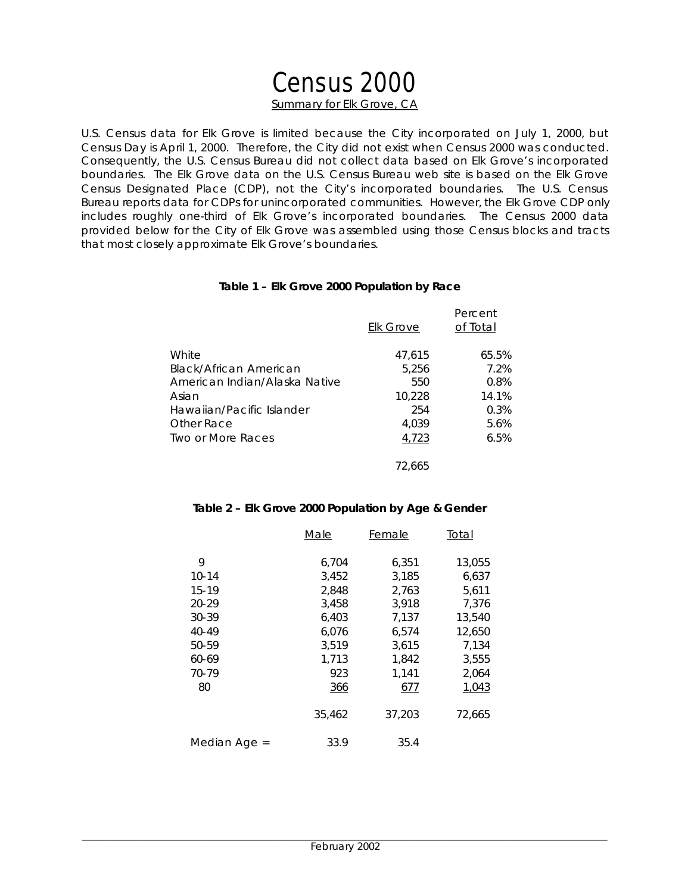# Census 2000 **Summary for Elk Grove, CA**

U.S. Census data for Elk Grove is limited because the City incorporated on July 1, 2000, but Census Day is April 1, 2000. Therefore, the City did not exist when Census 2000 was conducted. Consequently, the U.S. Census Bureau did not collect data based on Elk Grove's incorporated boundaries. The Elk Grove data on the U.S. Census Bureau web site is based on the Elk Grove Census Designated Place (CDP), not the City's incorporated boundaries. The U.S. Census Bureau reports data for CDPs for unincorporated communities. However, the Elk Grove CDP only includes roughly one-third of Elk Grove's incorporated boundaries. The Census 2000 data provided below for the City of Elk Grove was assembled using those Census blocks and tracts that most closely approximate Elk Grove's boundaries.

#### **Table 1 – Elk Grove 2000 Population by Race**

|                               | <b>Elk Grove</b> | Percent<br>of Total |
|-------------------------------|------------------|---------------------|
| White                         | 47,615           | 65.5%               |
| Black/African American        | 5,256            | 7.2%                |
| American Indian/Alaska Native | 550              | 0.8%                |
| Asian                         | 10.228           | 14.1%               |
| Hawaiian/Pacific Islander     | 254              | 0.3%                |
| Other Race                    | 4.039            | 5.6%                |
| Two or More Races             | 4,723            | 6.5%                |
|                               | 72,665           |                     |

### **Table 2 – Elk Grove 2000 Population by Age & Gender**

|              | Male       | Female | Total  |
|--------------|------------|--------|--------|
| 9            | 6,704      | 6,351  | 13,055 |
| $10 - 14$    | 3,452      | 3,185  | 6,637  |
| 15-19        | 2,848      | 2,763  | 5,611  |
| $20 - 29$    | 3,458      | 3,918  | 7,376  |
| $30 - 39$    | 6,403      | 7,137  | 13,540 |
| 40-49        | 6.076      | 6.574  | 12.650 |
| 50-59        | 3,519      | 3,615  | 7,134  |
| 60-69        | 1,713      | 1,842  | 3,555  |
| 70-79        | 923        | 1.141  | 2.064  |
| 80           | <u>366</u> | 677    | 1,043  |
|              | 35,462     | 37,203 | 72,665 |
| Median Age = | 33.9       | 35.4   |        |